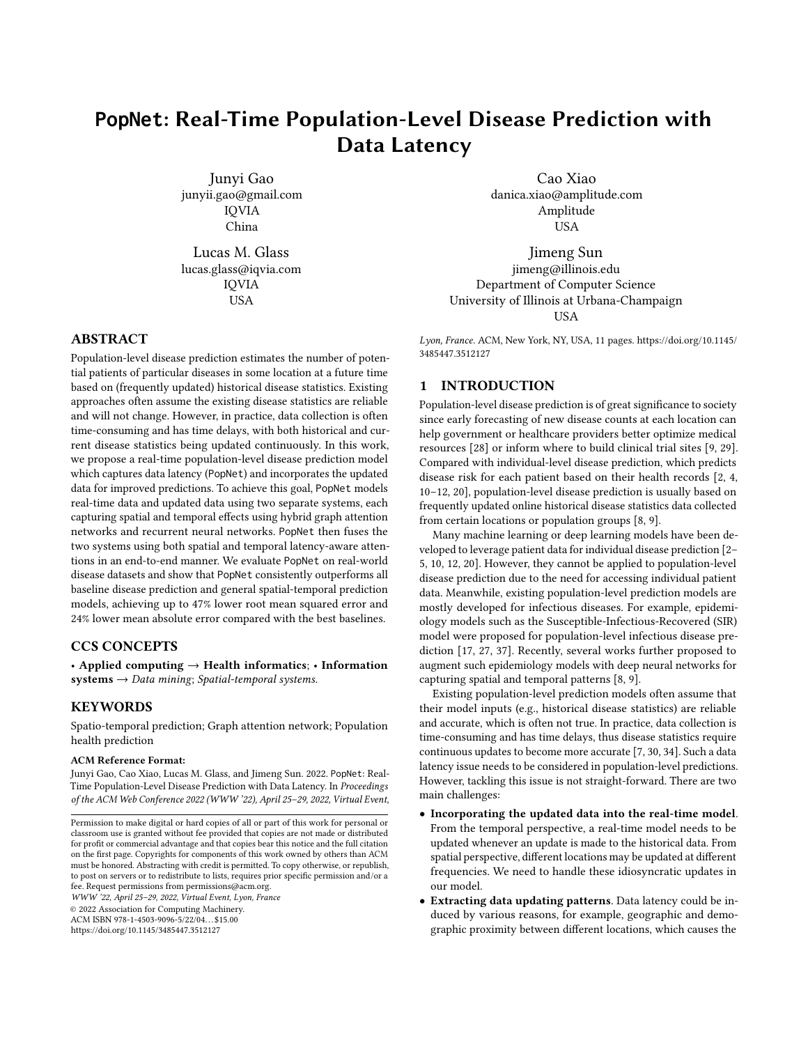# **PopNet**: Real-Time Population-Level Disease Prediction with Data Latency

Junyi Gao junyii.gao@gmail.com IQVIA China

Lucas M. Glass lucas.glass@iqvia.com IQVIA USA

# ABSTRACT

Population-level disease prediction estimates the number of potential patients of particular diseases in some location at a future time based on (frequently updated) historical disease statistics. Existing approaches often assume the existing disease statistics are reliable and will not change. However, in practice, data collection is often time-consuming and has time delays, with both historical and current disease statistics being updated continuously. In this work, we propose a real-time population-level disease prediction model which captures data latency (PopNet) and incorporates the updated data for improved predictions. To achieve this goal, PopNet models real-time data and updated data using two separate systems, each capturing spatial and temporal effects using hybrid graph attention networks and recurrent neural networks. PopNet then fuses the two systems using both spatial and temporal latency-aware attentions in an end-to-end manner. We evaluate PopNet on real-world disease datasets and show that PopNet consistently outperforms all baseline disease prediction and general spatial-temporal prediction models, achieving up to 47% lower root mean squared error and 24% lower mean absolute error compared with the best baselines.

#### CCS CONCEPTS

• Applied computing  $\rightarrow$  Health informatics; • Information  $systems \rightarrow Data mining; Spatial-temporal systems.$ 

## **KEYWORDS**

Spatio-temporal prediction; Graph attention network; Population health prediction

#### ACM Reference Format:

Junyi Gao, Cao Xiao, Lucas M. Glass, and Jimeng Sun. 2022. PopNet: Real-Time Population-Level Disease Prediction with Data Latency. In Proceedings of the ACM Web Conference 2022 (WWW '22), April 25–29, 2022, Virtual Event,

WWW '22, April 25–29, 2022, Virtual Event, Lyon, France © 2022 Association for Computing Machinery.

ACM ISBN 978-1-4503-9096-5/22/04. . . \$15.00

<https://doi.org/10.1145/3485447.3512127>

Cao Xiao danica.xiao@amplitude.com Amplitude USA

Jimeng Sun jimeng@illinois.edu Department of Computer Science University of Illinois at Urbana-Champaign **USA** 

Lyon, France. ACM, New York, NY, USA, [11](#page-10-0) pages. [https://doi.org/10.1145/](https://doi.org/10.1145/3485447.3512127) [3485447.3512127](https://doi.org/10.1145/3485447.3512127)

# 1 INTRODUCTION

Population-level disease prediction is of great significance to society since early forecasting of new disease counts at each location can help government or healthcare providers better optimize medical resources [\[28\]](#page-8-0) or inform where to build clinical trial sites [\[9,](#page-8-1) [29\]](#page-8-2). Compared with individual-level disease prediction, which predicts disease risk for each patient based on their health records [\[2,](#page-8-3) [4,](#page-8-4) [10–](#page-8-5)[12,](#page-8-6) [20\]](#page-8-7), population-level disease prediction is usually based on frequently updated online historical disease statistics data collected from certain locations or population groups [\[8,](#page-8-8) [9\]](#page-8-1).

Many machine learning or deep learning models have been developed to leverage patient data for individual disease prediction [\[2–](#page-8-3) [5,](#page-8-9) [10,](#page-8-5) [12,](#page-8-6) [20\]](#page-8-7). However, they cannot be applied to population-level disease prediction due to the need for accessing individual patient data. Meanwhile, existing population-level prediction models are mostly developed for infectious diseases. For example, epidemiology models such as the Susceptible-Infectious-Recovered (SIR) model were proposed for population-level infectious disease prediction [\[17,](#page-8-10) [27,](#page-8-11) [37\]](#page-8-12). Recently, several works further proposed to augment such epidemiology models with deep neural networks for capturing spatial and temporal patterns [\[8,](#page-8-8) [9\]](#page-8-1).

Existing population-level prediction models often assume that their model inputs (e.g., historical disease statistics) are reliable and accurate, which is often not true. In practice, data collection is time-consuming and has time delays, thus disease statistics require continuous updates to become more accurate [\[7,](#page-8-13) [30,](#page-8-14) [34\]](#page-8-15). Such a data latency issue needs to be considered in population-level predictions. However, tackling this issue is not straight-forward. There are two main challenges:

- Incorporating the updated data into the real-time model. From the temporal perspective, a real-time model needs to be updated whenever an update is made to the historical data. From spatial perspective, different locations may be updated at different frequencies. We need to handle these idiosyncratic updates in our model.
- Extracting data updating patterns. Data latency could be induced by various reasons, for example, geographic and demographic proximity between different locations, which causes the

Permission to make digital or hard copies of all or part of this work for personal or classroom use is granted without fee provided that copies are not made or distributed for profit or commercial advantage and that copies bear this notice and the full citation on the first page. Copyrights for components of this work owned by others than ACM must be honored. Abstracting with credit is permitted. To copy otherwise, or republish, to post on servers or to redistribute to lists, requires prior specific permission and/or a fee. Request permissions from permissions@acm.org.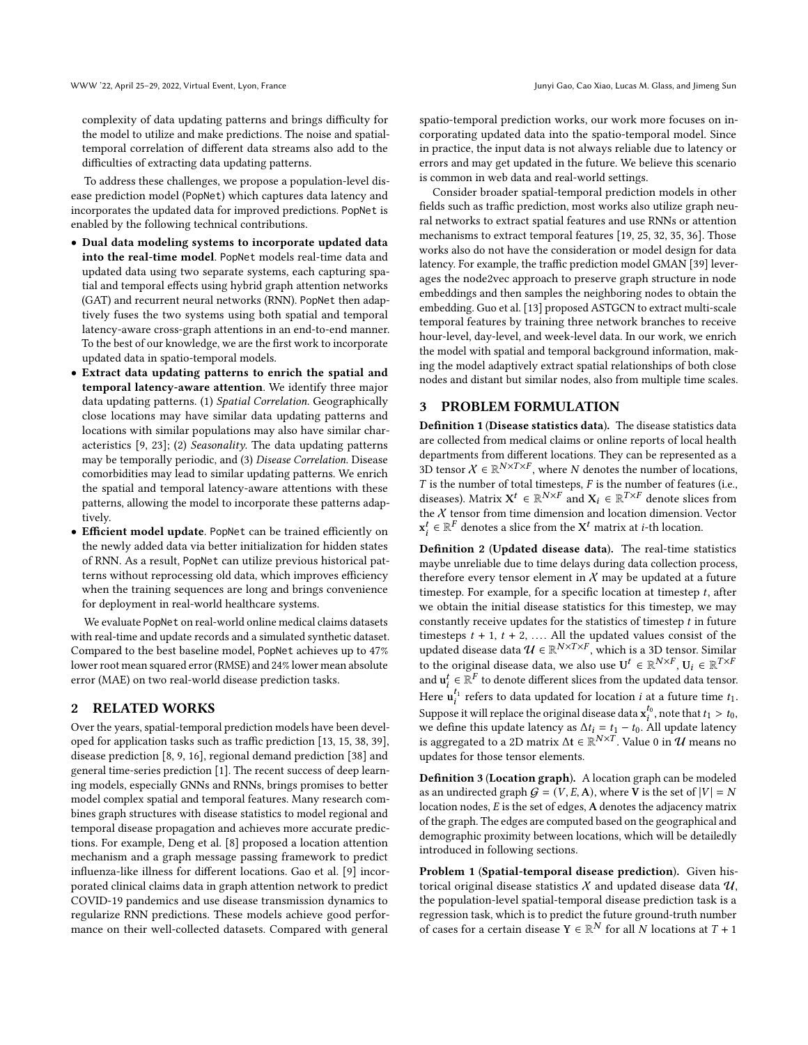complexity of data updating patterns and brings difficulty for the model to utilize and make predictions. The noise and spatialtemporal correlation of different data streams also add to the difficulties of extracting data updating patterns.

To address these challenges, we propose a population-level disease prediction model (PopNet) which captures data latency and incorporates the updated data for improved predictions. PopNet is enabled by the following technical contributions.

- Dual data modeling systems to incorporate updated data into the real-time model. PopNet models real-time data and updated data using two separate systems, each capturing spatial and temporal effects using hybrid graph attention networks (GAT) and recurrent neural networks (RNN). PopNet then adaptively fuses the two systems using both spatial and temporal latency-aware cross-graph attentions in an end-to-end manner. To the best of our knowledge, we are the first work to incorporate updated data in spatio-temporal models.
- Extract data updating patterns to enrich the spatial and temporal latency-aware attention. We identify three major data updating patterns. (1) Spatial Correlation. Geographically close locations may have similar data updating patterns and locations with similar populations may also have similar characteristics [\[9,](#page-8-1) [23\]](#page-8-16); (2) Seasonality. The data updating patterns may be temporally periodic, and (3) Disease Correlation. Disease comorbidities may lead to similar updating patterns. We enrich the spatial and temporal latency-aware attentions with these patterns, allowing the model to incorporate these patterns adaptively.
- Efficient model update. PopNet can be trained efficiently on the newly added data via better initialization for hidden states of RNN. As a result, PopNet can utilize previous historical patterns without reprocessing old data, which improves efficiency when the training sequences are long and brings convenience for deployment in real-world healthcare systems.

We evaluate PopNet on real-world online medical claims datasets with real-time and update records and a simulated synthetic dataset. Compared to the best baseline model, PopNet achieves up to 47% lower root mean squared error (RMSE) and 24% lower mean absolute error (MAE) on two real-world disease prediction tasks.

# 2 RELATED WORKS

Over the years, spatial-temporal prediction models have been developed for application tasks such as traffic prediction [\[13,](#page-8-17) [15,](#page-8-18) [38,](#page-8-19) [39\]](#page-8-20), disease prediction [\[8,](#page-8-8) [9,](#page-8-1) [16\]](#page-8-21), regional demand prediction [\[38\]](#page-8-19) and general time-series prediction [\[1\]](#page-8-22). The recent success of deep learning models, especially GNNs and RNNs, brings promises to better model complex spatial and temporal features. Many research combines graph structures with disease statistics to model regional and temporal disease propagation and achieves more accurate predictions. For example, Deng et al. [\[8\]](#page-8-8) proposed a location attention mechanism and a graph message passing framework to predict influenza-like illness for different locations. Gao et al. [\[9\]](#page-8-1) incorporated clinical claims data in graph attention network to predict COVID-19 pandemics and use disease transmission dynamics to regularize RNN predictions. These models achieve good performance on their well-collected datasets. Compared with general

spatio-temporal prediction works, our work more focuses on incorporating updated data into the spatio-temporal model. Since in practice, the input data is not always reliable due to latency or errors and may get updated in the future. We believe this scenario is common in web data and real-world settings.

Consider broader spatial-temporal prediction models in other fields such as traffic prediction, most works also utilize graph neural networks to extract spatial features and use RNNs or attention mechanisms to extract temporal features [\[19,](#page-8-23) [25,](#page-8-24) [32,](#page-8-25) [35,](#page-8-26) [36\]](#page-8-27). Those works also do not have the consideration or model design for data latency. For example, the traffic prediction model GMAN [\[39\]](#page-8-20) leverages the node2vec approach to preserve graph structure in node embeddings and then samples the neighboring nodes to obtain the embedding. Guo et al. [\[13\]](#page-8-17) proposed ASTGCN to extract multi-scale temporal features by training three network branches to receive hour-level, day-level, and week-level data. In our work, we enrich the model with spatial and temporal background information, making the model adaptively extract spatial relationships of both close nodes and distant but similar nodes, also from multiple time scales.

# 3 PROBLEM FORMULATION

Definition 1 (Disease statistics data). The disease statistics data are collected from medical claims or online reports of local health departments from different locations. They can be represented as a 3D tensor  $X \in \mathbb{R}^{N \times T \times F}$ , where N denotes the number of locations,  $T$  is the number of total timesteps,  $F$  is the number of features (i.e., diseases). Matrix  $X^t \in \mathbb{R}^{N \times F}$  and  $X_i \in \mathbb{R}^{T \times F}$  denote slices from the  $X$  tensor from time dimension and location dimension. Vector  $\mathbf{x}_i^t \in \mathbb{R}^F$  denotes a slice from the  $\mathbf{X}^t$  matrix at *i*-th location.

Definition 2 (Updated disease data). The real-time statistics maybe unreliable due to time delays during data collection process, therefore every tensor element in  $X$  may be updated at a future timestep. For example, for a specific location at timestep  $t$ , after we obtain the initial disease statistics for this timestep, we may constantly receive updates for the statistics of timestep  $t$  in future timesteps  $t + 1$ ,  $t + 2$ , .... All the updated values consist of the updated disease data  $\mathcal{U} \in \mathbb{R}^{N \times T \times F}$ , which is a 3D tensor. Similar to the original disease data, we also use  $U^t \in \mathbb{R}^{N \times F}$ ,  $U_i \in \mathbb{R}^{T \times F}$ and  $\mathbf{u}_i^t \in \mathbb{R}^F$  to denote different slices from the updated data tensor. Here  $\mathbf{u}_i^{t_1}$  refers to data updated for location *i* at a future time  $t_1$ . Suppose it will replace the original disease data  $x_i^{t_0}$ , note that  $t_1 > t_0$ , we define this update latency as  $\Delta t_i = t_1 - t_0$ . All update latency is aggregated to a 2D matrix  $\Delta t \in \mathbb{R}^{N \times T}$ . Value 0 in  $\mathcal U$  means no updates for those tensor elements.

Definition 3 (Location graph). A location graph can be modeled as an undirected graph  $G = (V, E, A)$ , where V is the set of  $|V| = N$ location nodes,  $E$  is the set of edges,  $A$  denotes the adjacency matrix of the graph. The edges are computed based on the geographical and demographic proximity between locations, which will be detailedly introduced in following sections.

Problem 1 (Spatial-temporal disease prediction). Given historical original disease statistics  $X$  and updated disease data  $U$ , the population-level spatial-temporal disease prediction task is a regression task, which is to predict the future ground-truth number of cases for a certain disease  $Y \in \mathbb{R}^N$  for all N locations at  $T + 1$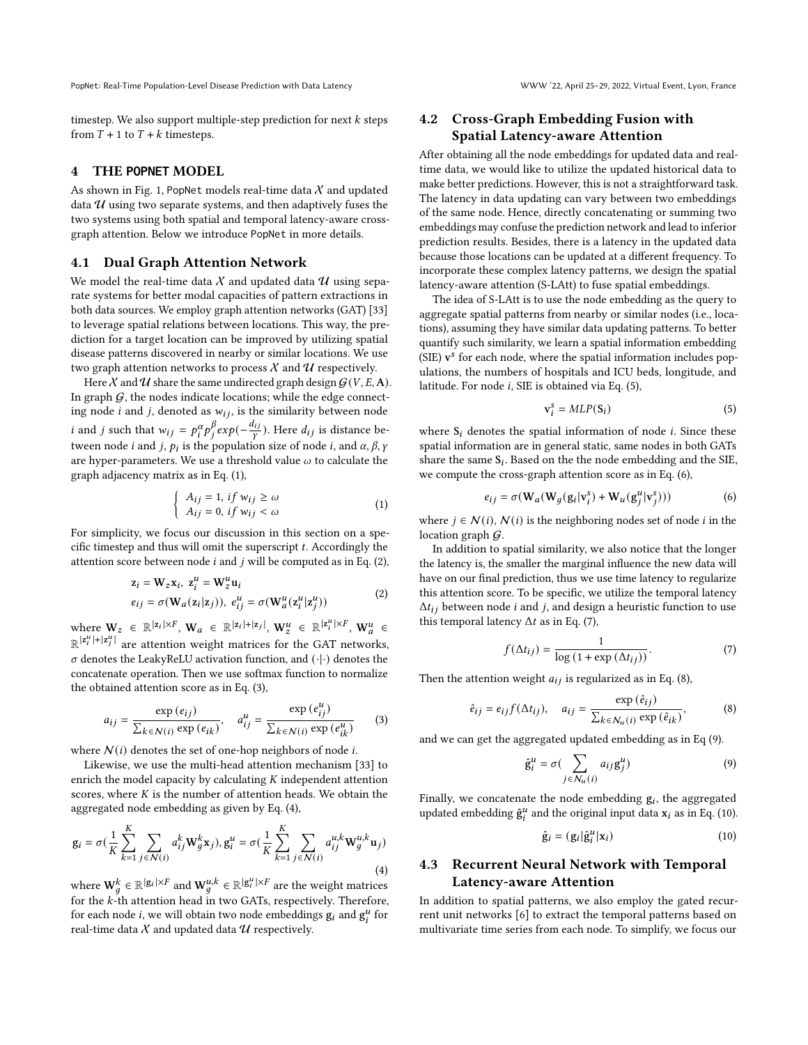timestep. We also support multiple-step prediction for next  $k$  steps from  $T + 1$  to  $T + k$  timesteps.

#### 4 THE **POPNET** MODEL

As shown in Fig. [1,](#page-3-0) PopNet models real-time data  $X$  and updated data  $U$  using two separate systems, and then adaptively fuses the two systems using both spatial and temporal latency-aware crossgraph attention. Below we introduce PopNet in more details.

#### 4.1 Dual Graph Attention Network

We model the real-time data  $X$  and updated data  $U$  using separate systems for better modal capacities of pattern extractions in both data sources. We employ graph attention networks (GAT) [\[33\]](#page-8-28) to leverage spatial relations between locations. This way, the prediction for a target location can be improved by utilizing spatial disease patterns discovered in nearby or similar locations. We use two graph attention networks to process  $X$  and  $U$  respectively.

Here  $X$  and  $U$  share the same undirected graph design  $G(V, E, A)$ . In graph  $G$ , the nodes indicate locations; while the edge connecting node *i* and *j*, denoted as  $w_{ij}$ , is the similarity between node *i* and *j* such that  $w_{ij} = p_i^{\alpha} p_j^{\beta}$  $\beta$ <sub>j</sub>exp( $-\frac{d_{ij}}{v}$ ). Here  $d_{ij}$  is distance between node *i* and *j*,  $p_i$  is the population size of node *i*, and  $\alpha$ ,  $\beta$ ,  $\gamma$ are hyper-parameters. We use a threshold value  $\omega$  to calculate the graph adjacency matrix as in Eq. [\(1\)](#page-2-0),

<span id="page-2-0"></span>
$$
\begin{cases}\nA_{ij} = 1, & \text{if } w_{ij} \ge \omega \\
A_{ij} = 0, & \text{if } w_{ij} < \omega\n\end{cases}
$$
\n(1)

For simplicity, we focus our discussion in this section on a specific timestep and thus will omit the superscript  $t$ . Accordingly the attention score between node  $i$  and  $j$  will be computed as in Eq. [\(2\)](#page-2-1),

<span id="page-2-1"></span>
$$
z_i = W_z x_i, z_i^u = W_z^u u_i
$$
  
\n
$$
e_{ij} = \sigma(W_a(z_i|z_j)), e_{ij}^u = \sigma(W_a^u(z_i^u|z_j^u))
$$
\n(2)

where  $W_z \in \mathbb{R}^{|z_i| \times F}$ ,  $W_a \in \mathbb{R}^{|z_i| + |z_j|}$ ,  $W_z^u \in \mathbb{R}^{|z_i^u| \times F}$ ,  $W_a^u \in$  $\mathbb{R}^{|z_i^u|+|z_j^u|}$  are attention weight matrices for the GAT networks, |  $\sigma$  denotes the LeakyReLU activation function, and  $(\cdot | \cdot)$  denotes the concatenate operation. Then we use softmax function to normalize the obtained attention score as in Eq. [\(3\)](#page-2-2),

<span id="page-2-2"></span>
$$
a_{ij} = \frac{\exp(e_{ij})}{\sum_{k \in \mathcal{N}(i)} \exp(e_{ik})}, \quad a_{ij}^u = \frac{\exp(e_{ij}^u)}{\sum_{k \in \mathcal{N}(i)} \exp(e_{ik}^u)}
$$
(3)

where  $N(i)$  denotes the set of one-hop neighbors of node *i*.

Likewise, we use the multi-head attention mechanism [\[33\]](#page-8-28) to enrich the model capacity by calculating  $K$  independent attention scores, where  $K$  is the number of attention heads. We obtain the aggregated node embedding as given by Eq. [\(4\)](#page-2-3),

<span id="page-2-3"></span>
$$
\mathbf{g}_{i} = \sigma(\frac{1}{K} \sum_{k=1}^{K} \sum_{j \in \mathcal{N}(i)} a_{ij}^{k} \mathbf{W}_{g}^{k} \mathbf{x}_{j}), \mathbf{g}_{i}^{u} = \sigma(\frac{1}{K} \sum_{k=1}^{K} \sum_{j \in \mathcal{N}(i)} a_{ij}^{u,k} \mathbf{W}_{g}^{u,k} \mathbf{u}_{j})
$$
\n(4)

where  $\mathbf{W}_q^k \in \mathbb{R}^{g_i | \times F}$  and  $\mathbf{W}_q^{u,k} \in \mathbb{R}^{g_i | \times F}$  are the weight matrices for the  $k$ -th attention head in two GATs, respectively. Therefore, for each node *i*, we will obtain two node embeddings  $g_i$  and  $g_i^u$  for real-time data  $X$  and updated data  $U$  respectively.

# 4.2 Cross-Graph Embedding Fusion with Spatial Latency-aware Attention

After obtaining all the node embeddings for updated data and realtime data, we would like to utilize the updated historical data to make better predictions. However, this is not a straightforward task. The latency in data updating can vary between two embeddings of the same node. Hence, directly concatenating or summing two embeddings may confuse the prediction network and lead to inferior prediction results. Besides, there is a latency in the updated data because those locations can be updated at a different frequency. To incorporate these complex latency patterns, we design the spatial latency-aware attention (S-LAtt) to fuse spatial embeddings.

The idea of S-LAtt is to use the node embedding as the query to aggregate spatial patterns from nearby or similar nodes (i.e., locations), assuming they have similar data updating patterns. To better quantify such similarity, we learn a spatial information embedding  $(SIE)$   $\mathbf{v}^s$  for each node, where the spatial information includes populations, the numbers of hospitals and ICU beds, longitude, and latitude. For node  $i$ , SIE is obtained via Eq.  $(5)$ ,

<span id="page-2-4"></span>
$$
\mathbf{v}_i^s = MLP(\mathbf{S}_i) \tag{5}
$$

where  $S_i$  denotes the spatial information of node *i*. Since these spatial information are in general static, same nodes in both GATs share the same  $S_i$ . Based on the the node embedding and the SIE, we compute the cross-graph attention score as in Eq. [\(6\)](#page-2-5),

<span id="page-2-5"></span>
$$
e_{ij} = \sigma(\mathbf{W}_a(\mathbf{W}_g(\mathbf{g}_i|\mathbf{v}_i^s) + \mathbf{W}_u(\mathbf{g}_i^u|\mathbf{v}_i^s)))
$$
 (6)

where  $j \in \mathcal{N}(i)$ ,  $\mathcal{N}(i)$  is the neighboring nodes set of node *i* in the location graph  $\mathcal G$ .

In addition to spatial similarity, we also notice that the longer the latency is, the smaller the marginal influence the new data will have on our final prediction, thus we use time latency to regularize this attention score. To be specific, we utilize the temporal latency  $\Delta t_{ij}$  between node *i* and *j*, and design a heuristic function to use this temporal latency  $\Delta t$  as in Eq. [\(7\)](#page-2-6),

<span id="page-2-6"></span>
$$
f(\Delta t_{ij}) = \frac{1}{\log\left(1 + \exp\left(\Delta t_{ij}\right)\right)}.\tag{7}
$$

Then the attention weight  $a_{ij}$  is regularized as in Eq. [\(8\)](#page-2-7),

<span id="page-2-7"></span>
$$
\hat{e}_{ij} = e_{ij} f(\Delta t_{ij}), \quad a_{ij} = \frac{\exp{(\hat{e}_{ij})}}{\sum_{k \in \mathcal{N}_u(i)} \exp{(\hat{e}_{ik})}},
$$
(8)

and we can get the aggregated updated embedding as in Eq [\(9\)](#page-2-8).

<span id="page-2-8"></span>
$$
\hat{\mathbf{g}}_i^u = \sigma(\sum_{j \in \mathcal{N}_u(i)} a_{ij} \mathbf{g}_j^u)
$$
 (9)

Finally, we concatenate the node embedding  $g_i$ , the aggregated updated embedding  $\hat{g}_i^u$  and the original input data  $x_i$  as in Eq. [\(10\)](#page-2-9).

<span id="page-2-9"></span>
$$
\hat{\mathbf{g}}_i = (\mathbf{g}_i | \hat{\mathbf{g}}_i^u | \mathbf{x}_i) \tag{10}
$$

# 4.3 Recurrent Neural Network with Temporal Latency-aware Attention

In addition to spatial patterns, we also employ the gated recurrent unit networks [\[6\]](#page-8-29) to extract the temporal patterns based on multivariate time series from each node. To simplify, we focus our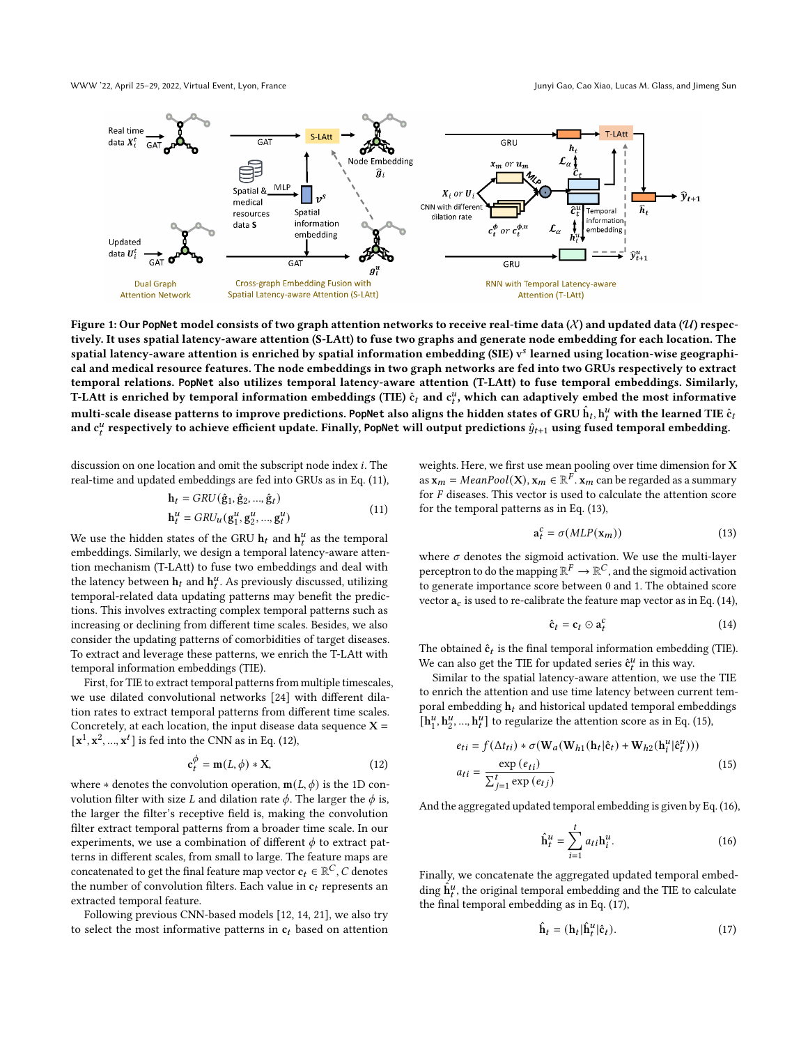WWW '22, April 25–29, 2022, Virtual Event, Lyon, France Junyi Gao, Cao Xiao, Lucas M. Glass, and Jimeng Sun

<span id="page-3-0"></span>

Figure 1: Our PopNet model consists of two graph attention networks to receive real-time data  $(X)$  and updated data  $(U)$  respectively. It uses spatial latency-aware attention (S-LAtt) to fuse two graphs and generate node embedding for each location. The spatial latency-aware attention is enriched by spatial information embedding (SIE) v learned using location-wise geographical and medical resource features. The node embeddings in two graph networks are fed into two GRUs respectively to extract temporal relations. **PopNet** also utilizes temporal latency-aware attention (T-LAtt) to fuse temporal embeddings. Similarly, T-LAtt is enriched by temporal information embeddings (TIE)  $\hat{c}_t$  and  $c_t^u$ , which can adaptively embed the most informative multi-scale disease patterns to improve predictions. PopNet also aligns the hidden states of GRU  $\hat{\bm{\mathrm{h}}}_t$ ,  $\bm{\mathrm{h}}^u_t$  with the learned TIE  $\hat{\bm{\mathrm{c}}}_t$ and  $c_t^u$  respectively to achieve efficient update. Finally, PopNet will output predictions  $\hat{y}_{t+1}$  using fused temporal embedding.

discussion on one location and omit the subscript node index *i*. The real-time and updated embeddings are fed into GRUs as in Eq. [\(11\)](#page-3-1),

<span id="page-3-1"></span>
$$
h_{t} = GRU(\hat{g}_{1}, \hat{g}_{2}, ..., \hat{g}_{t})
$$
  
\n
$$
h_{t}^{u} = GRU_{u}(g_{1}^{u}, g_{2}^{u}, ..., g_{t}^{u})
$$
\n(11)

We use the hidden states of the GRU  $\mathbf{h}_t$  and  $\mathbf{h}_t^u$  as the temporal embeddings. Similarly, we design a temporal latency-aware attention mechanism (T-LAtt) to fuse two embeddings and deal with the latency between  $h_t$  and  $h_t^u$ . As previously discussed, utilizing temporal-related data updating patterns may benefit the predictions. This involves extracting complex temporal patterns such as increasing or declining from different time scales. Besides, we also consider the updating patterns of comorbidities of target diseases. To extract and leverage these patterns, we enrich the T-LAtt with temporal information embeddings (TIE).

First, for TIE to extract temporal patterns from multiple timescales, we use dilated convolutional networks [\[24\]](#page-8-30) with different dilation rates to extract temporal patterns from different time scales. Concretely, at each location, the input disease data sequence  $X =$  $[\mathbf{x}^1, \mathbf{x}^2, ..., \mathbf{x}^t]$  is fed into the CNN as in Eq. [\(12\)](#page-3-2),

<span id="page-3-2"></span>
$$
\mathbf{c}_t^{\phi} = \mathbf{m}(L, \phi) * \mathbf{X},\tag{12}
$$

where  $*$  denotes the convolution operation,  $m(L, \phi)$  is the 1D convolution filter with size *L* and dilation rate  $\phi$ . The larger the  $\phi$  is, the larger the filter's receptive field is, making the convolution filter extract temporal patterns from a broader time scale. In our experiments, we use a combination of different  $\phi$  to extract patterns in different scales, from small to large. The feature maps are concatenated to get the final feature map vector  $\mathbf{c}_t \in \mathbb{R}^C$ , C denotes the number of convolution filters. Each value in  $c_t$  represents an extracted temporal feature.

Following previous CNN-based models [\[12,](#page-8-6) [14,](#page-8-31) [21\]](#page-8-32), we also try to select the most informative patterns in  $c_t$  based on attention weights. Here, we first use mean pooling over time dimension for X as  $\mathbf{x}_m = MeanPool(\mathbf{X}), \mathbf{x}_m \in \mathbb{R}^F$ .  $\mathbf{x}_m$  can be regarded as a summary for  $F$  diseases. This vector is used to calculate the attention score for the temporal patterns as in Eq. [\(13\)](#page-3-3),

<span id="page-3-3"></span>
$$
\mathbf{a}_t^c = \sigma(MLP(\mathbf{x}_m))\tag{13}
$$

where  $\sigma$  denotes the sigmoid activation. We use the multi-layer perceptron to do the mapping  $\mathbb{R}^F \to \mathbb{R}^C$ , and the sigmoid activation to generate importance score between 0 and 1. The obtained score vector  $a_c$  is used to re-calibrate the feature map vector as in Eq. [\(14\)](#page-3-4),

<span id="page-3-4"></span>
$$
\hat{\mathbf{c}}_t = \mathbf{c}_t \odot \mathbf{a}_t^c \tag{14}
$$

The obtained  $\hat{\mathbf{c}}_t$  is the final temporal information embedding (TIE). We can also get the TIE for updated series  $\hat{\mathbf{c}}_t^u$  in this way.

Similar to the spatial latency-aware attention, we use the TIE to enrich the attention and use time latency between current temporal embedding  $\mathbf{h}_t$  and historical updated temporal embeddings  $\overline{\mathbf{h}^u_1}$  $\frac{u}{1}$ ,  $\mathbf{h}_2^u$  $\mathbf{a}_1^u$ , ...,  $\mathbf{h}_t^u$ ] to regularize the attention score as in Eq. [\(15\)](#page-3-5),

<span id="page-3-5"></span>
$$
e_{ti} = f(\Delta t_{ti}) * \sigma(\mathbf{W}_a(\mathbf{W}_{h1}(\mathbf{h}_t|\hat{\mathbf{c}}_t) + \mathbf{W}_{h2}(\mathbf{h}_i^u|\hat{\mathbf{c}}_t^u)))
$$
  
\n
$$
a_{ti} = \frac{\exp(e_{ti})}{\sum_{j=1}^t \exp(e_{tj})}
$$
\n(15)

And the aggregated updated temporal embedding is given by Eq. [\(16\)](#page-3-6),

<span id="page-3-6"></span>
$$
\hat{\mathbf{h}}_t^u = \sum_{i=1}^t a_{ti} \mathbf{h}_i^u.
$$
 (16)

Finally, we concatenate the aggregated updated temporal embedding  $\hat{h}^u_t$ , the original temporal embedding and the TIE to calculate the final temporal embedding as in Eq. [\(17\)](#page-3-7),

<span id="page-3-7"></span>
$$
\hat{\mathbf{h}}_t = (\mathbf{h}_t | \hat{\mathbf{h}}_t^u | \hat{\mathbf{c}}_t). \tag{17}
$$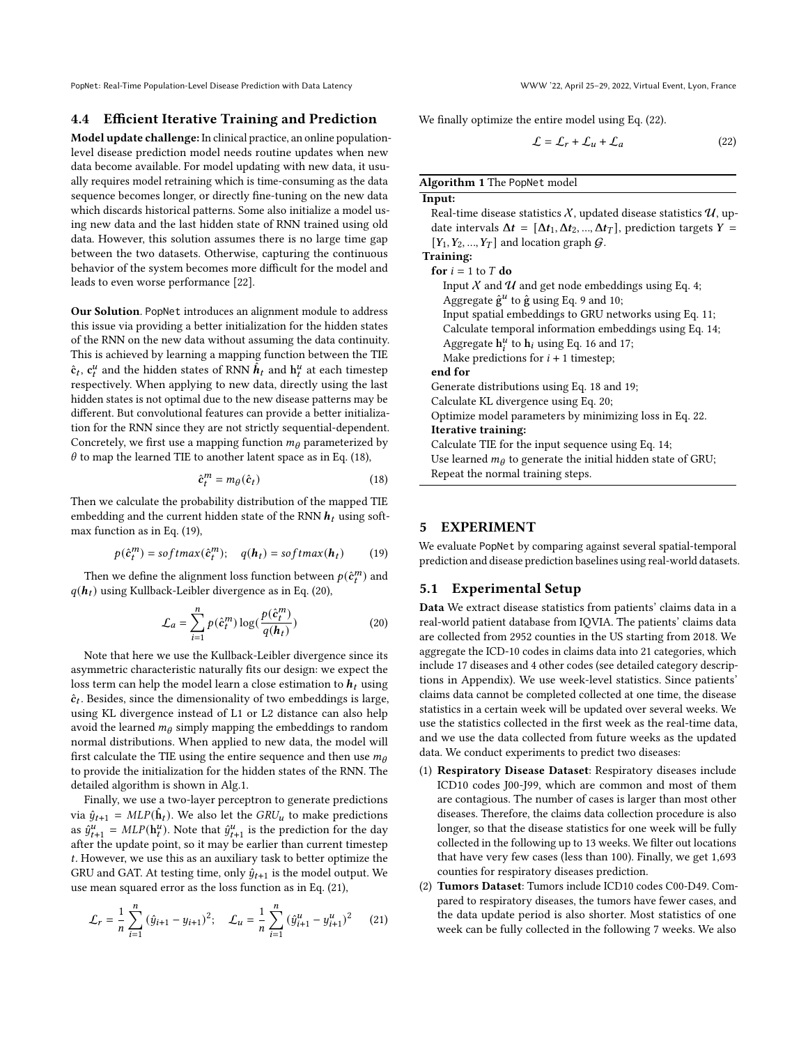# 4.4 Efficient Iterative Training and Prediction

Model update challenge: In clinical practice, an online populationlevel disease prediction model needs routine updates when new data become available. For model updating with new data, it usually requires model retraining which is time-consuming as the data sequence becomes longer, or directly fine-tuning on the new data which discards historical patterns. Some also initialize a model using new data and the last hidden state of RNN trained using old data. However, this solution assumes there is no large time gap between the two datasets. Otherwise, capturing the continuous behavior of the system becomes more difficult for the model and leads to even worse performance [\[22\]](#page-8-33).

Our Solution. PopNet introduces an alignment module to address this issue via providing a better initialization for the hidden states of the RNN on the new data without assuming the data continuity. This is achieved by learning a mapping function between the TIE  $\hat{\mathbf{c}}_t$ ,  $\mathbf{c}_t^u$  and the hidden states of RNN  $\hat{h}_t$  and  $\mathbf{h}_t^u$  at each timestep respectively. When applying to new data, directly using the last hidden states is not optimal due to the new disease patterns may be different. But convolutional features can provide a better initialization for the RNN since they are not strictly sequential-dependent. Concretely, we first use a mapping function  $m<sub>\theta</sub>$  parameterized by  $\theta$  to map the learned TIE to another latent space as in Eq. [\(18\)](#page-4-0),

<span id="page-4-0"></span>
$$
\hat{\mathbf{c}}_t^m = m_\theta(\hat{\mathbf{c}}_t) \tag{18}
$$

Then we calculate the probability distribution of the mapped TIE embedding and the current hidden state of the RNN  $h_t$  using softmax function as in Eq. [\(19\)](#page-4-1),

<span id="page-4-1"></span>
$$
p(\hat{c}_t^m) = softmax(\hat{c}_t^m); \quad q(\mathbf{h}_t) = softmax(\mathbf{h}_t)
$$
 (19)

Then we define the alignment loss function between  $p(\hat{\pmb{c}}_t^m)$  and  $q(h_t)$  using Kullback-Leibler divergence as in Eq. [\(20\)](#page-4-2),

<span id="page-4-2"></span>
$$
\mathcal{L}_a = \sum_{i=1}^n p(\hat{c}_t^m) \log(\frac{p(\hat{c}_t^m)}{q(\mathbf{h}_t)})
$$
(20)

Note that here we use the Kullback-Leibler divergence since its asymmetric characteristic naturally fits our design: we expect the loss term can help the model learn a close estimation to  $h_t$  using  $\hat{c}_t$ . Besides, since the dimensionality of two embeddings is large, using KL divergence instead of L1 or L2 distance can also help avoid the learned  $m_\theta$  simply mapping the embeddings to random normal distributions. When applied to new data, the model will first calculate the TIE using the entire sequence and then use  $m_{\theta}$ to provide the initialization for the hidden states of the RNN. The detailed algorithm is shown in Alg[.1.](#page-4-3)

Finally, we use a two-layer perceptron to generate predictions via  $\hat{y}_{t+1} = MLP(\hat{\mathbf{h}}_t)$ . We also let the  $GRU_u$  to make predictions as  $\hat{y}_{t+1}^{u} = MLP(\mathbf{h}_{t}^{u})$ . Note that  $\hat{y}_{t+1}^{u}$  is the prediction for the day after the update point, so it may be earlier than current timestep . However, we use this as an auxiliary task to better optimize the GRU and GAT. At testing time, only  $\hat{y}_{t+1}$  is the model output. We use mean squared error as the loss function as in Eq. [\(21\)](#page-4-4),

<span id="page-4-4"></span>
$$
\mathcal{L}_r = \frac{1}{n} \sum_{i=1}^n (\hat{y}_{i+1} - y_{i+1})^2; \quad \mathcal{L}_u = \frac{1}{n} \sum_{i=1}^n (\hat{y}_{i+1}^u - y_{i+1}^u)^2 \tag{21}
$$

We finally optimize the entire model using Eq. [\(22\)](#page-4-5).

<span id="page-4-5"></span>
$$
\mathcal{L} = \mathcal{L}_r + \mathcal{L}_u + \mathcal{L}_a \tag{22}
$$

#### <span id="page-4-3"></span>Algorithm 1 The PopNet model

 $\overline{\mathbf{I}}$ 

 $\overline{T}$ 

| .put:                                                                                         |
|-----------------------------------------------------------------------------------------------|
| Real-time disease statistics $\mathcal{X},$ updated disease statistics $\mathcal{U},$ up-     |
| date intervals $\Delta t = [\Delta t_1, \Delta t_2, , \Delta t_T]$ , prediction targets $Y =$ |
| $[Y_1, Y_2, , Y_T]$ and location graph $\mathcal{G}$ .                                        |
| raining:                                                                                      |
| ${\bf for} \,\,i=1 \,\,{\rm to} \,\,T\,\,{\bf do}$                                            |
| Input X and U and get node embeddings using Eq. 4;                                            |
| Aggregate $\hat{g}^u$ to $\hat{g}$ using Eq. 9 and 10;                                        |
| Input spatial embeddings to GRU networks using Eq. 11;                                        |
| Calculate temporal information embeddings using Eq. 14;                                       |
| Aggregate $h_i^u$ to $h_i$ using Eq. 16 and 17;                                               |
| Make predictions for $i + 1$ timestep;                                                        |
| end for                                                                                       |
| Generate distributions using Eq. 18 and 19;                                                   |
| Calculate KL divergence using Eq. 20;                                                         |
| Optimize model parameters by minimizing loss in Eq. 22.                                       |
| Iterative training:                                                                           |
| Calculate TIE for the input sequence using Eq. 14;                                            |
| Use learned $m_{\theta}$ to generate the initial hidden state of GRU;                         |
| Repeat the normal training steps.                                                             |
|                                                                                               |

#### 5 EXPERIMENT

We evaluate PopNet by comparing against several spatial-temporal prediction and disease prediction baselines using real-world datasets.

#### 5.1 Experimental Setup

Data We extract disease statistics from patients' claims data in a real-world patient database from IQVIA. The patients' claims data are collected from 2952 counties in the US starting from 2018. We aggregate the ICD-10 codes in claims data into 21 categories, which include 17 diseases and 4 other codes (see detailed category descriptions in Appendix). We use week-level statistics. Since patients' claims data cannot be completed collected at one time, the disease statistics in a certain week will be updated over several weeks. We use the statistics collected in the first week as the real-time data, and we use the data collected from future weeks as the updated data. We conduct experiments to predict two diseases:

- (1) Respiratory Disease Dataset: Respiratory diseases include ICD10 codes J00-J99, which are common and most of them are contagious. The number of cases is larger than most other diseases. Therefore, the claims data collection procedure is also longer, so that the disease statistics for one week will be fully collected in the following up to 13 weeks. We filter out locations that have very few cases (less than 100). Finally, we get 1,693 counties for respiratory diseases prediction.
- (2) Tumors Dataset: Tumors include ICD10 codes C00-D49. Compared to respiratory diseases, the tumors have fewer cases, and the data update period is also shorter. Most statistics of one week can be fully collected in the following 7 weeks. We also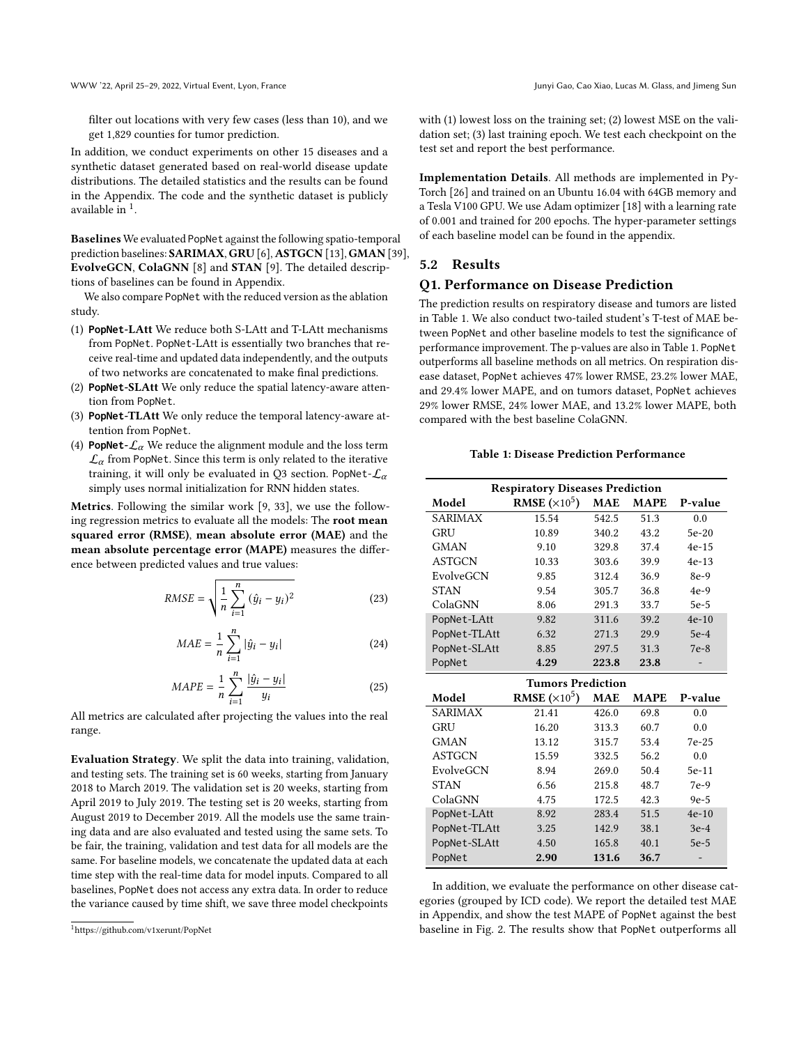get 1,829 counties for tumor prediction.

In addition, we conduct experiments on other 15 diseases and a synthetic dataset generated based on real-world disease update distributions. The detailed statistics and the results can be found in the Appendix. The code and the synthetic dataset is publicly available in  $<sup>1</sup>$  $<sup>1</sup>$  $<sup>1</sup>$ .</sup>

Baselines We evaluated PopNet against the following spatio-temporal prediction baselines: SARIMAX, GRU [\[6\]](#page-8-29), ASTGCN [\[13\]](#page-8-17), GMAN [\[39\]](#page-8-20), EvolveGCN, ColaGNN [\[8\]](#page-8-8) and STAN [\[9\]](#page-8-1). The detailed descriptions of baselines can be found in Appendix.

We also compare PopNet with the reduced version as the ablation study.

- (1) **PopNet**-LAtt We reduce both S-LAtt and T-LAtt mechanisms from PopNet. PopNet-LAtt is essentially two branches that receive real-time and updated data independently, and the outputs of two networks are concatenated to make final predictions.
- (2) **PopNet**-SLAtt We only reduce the spatial latency-aware attention from PopNet.
- (3) **PopNet**-TLAtt We only reduce the temporal latency-aware attention from PopNet.
- (4) **PopNet-** $\mathcal{L}_{\alpha}$  We reduce the alignment module and the loss term  $\mathcal{L}_{\alpha}$  from PopNet. Since this term is only related to the iterative training, it will only be evaluated in Q3 section. PopNet- $\mathcal{L}_{\alpha}$ simply uses normal initialization for RNN hidden states.

Metrics. Following the similar work [\[9,](#page-8-1) [33\]](#page-8-28), we use the following regression metrics to evaluate all the models: The root mean squared error (RMSE), mean absolute error (MAE) and the mean absolute percentage error (MAPE) measures the difference between predicted values and true values:

$$
RMSE = \sqrt{\frac{1}{n} \sum_{i=1}^{n} (\hat{y}_i - y_i)^2}
$$
 (23)

$$
MAE = \frac{1}{n} \sum_{i=1}^{n} |\hat{y}_i - y_i|
$$
 (24)

$$
MAPE = \frac{1}{n} \sum_{i=1}^{n} \frac{|\hat{y}_i - y_i|}{y_i}
$$
 (25)

All metrics are calculated after projecting the values into the real range.

Evaluation Strategy. We split the data into training, validation, and testing sets. The training set is 60 weeks, starting from January 2018 to March 2019. The validation set is 20 weeks, starting from April 2019 to July 2019. The testing set is 20 weeks, starting from August 2019 to December 2019. All the models use the same training data and are also evaluated and tested using the same sets. To be fair, the training, validation and test data for all models are the same. For baseline models, we concatenate the updated data at each time step with the real-time data for model inputs. Compared to all baselines, PopNet does not access any extra data. In order to reduce the variance caused by time shift, we save three model checkpoints

with (1) lowest loss on the training set; (2) lowest MSE on the validation set; (3) last training epoch. We test each checkpoint on the test set and report the best performance.

Implementation Details. All methods are implemented in Py-Torch [\[26\]](#page-8-34) and trained on an Ubuntu 16.04 with 64GB memory and a Tesla V100 GPU. We use Adam optimizer [\[18\]](#page-8-35) with a learning rate of 0.001 and trained for 200 epochs. The hyper-parameter settings of each baseline model can be found in the appendix.

# 5.2 Results

#### Q1. Performance on Disease Prediction

The prediction results on respiratory disease and tumors are listed in Table [1.](#page-5-1) We also conduct two-tailed student's T-test of MAE between PopNet and other baseline models to test the significance of performance improvement. The p-values are also in Table [1.](#page-5-1) PopNet outperforms all baseline methods on all metrics. On respiration disease dataset, PopNet achieves 47% lower RMSE, 23.2% lower MAE, and 29.4% lower MAPE, and on tumors dataset, PopNet achieves 29% lower RMSE, 24% lower MAE, and 13.2% lower MAPE, both compared with the best baseline ColaGNN.

#### Table 1: Disease Prediction Performance

<span id="page-5-1"></span>

| <b>Respiratory Diseases Prediction</b> |                             |            |             |         |  |
|----------------------------------------|-----------------------------|------------|-------------|---------|--|
| Model                                  | <b>RMSE</b> $(\times 10^5)$ | <b>MAE</b> | <b>MAPE</b> | P-value |  |
| <b>SARIMAX</b>                         | 15.54                       | 542.5      | 51.3        | 0.0     |  |
| GRU                                    | 10.89                       | 340.2      | 43.2        | $5e-20$ |  |
| <b>GMAN</b>                            | 9.10                        | 329.8      | 37.4        | $4e-15$ |  |
| <b>ASTGCN</b>                          | 10.33                       | 303.6      | 39.9        | $4e-13$ |  |
| EvolveGCN                              | 9.85                        | 312.4      | 36.9        | 8e-9    |  |
| <b>STAN</b>                            | 9.54                        | 305.7      | 36.8        | $4e-9$  |  |
| ColaGNN                                | 8.06                        | 291.3      | 33.7        | $5e-5$  |  |
| PopNet-LAtt                            | 9.82                        | 311.6      | 39.2        | $4e-10$ |  |
| PopNet-TLAtt                           | 6.32                        | 271.3      | 29.9        | $5e-4$  |  |
| PopNet-SLAtt                           | 8.85                        | 297.5      | 31.3        | $7e-8$  |  |
| PopNet                                 | 4.29                        | 223.8      | 23.8        |         |  |
|                                        | <b>Tumors Prediction</b>    |            |             |         |  |
| Model                                  | <b>RMSE</b> $(\times 10^5)$ | <b>MAE</b> | <b>MAPE</b> | P-value |  |
| <b>SARIMAX</b>                         | 21.41                       | 426.0      | 69.8        | 0.0     |  |
| GRU                                    | 16.20                       | 313.3      | 60.7        | 0.0     |  |
| <b>GMAN</b>                            | 13.12                       | 315.7      | 53.4        | $7e-25$ |  |
| <b>ASTGCN</b>                          | 15.59                       | 332.5      | 56.2        | 0.0     |  |
| EvolveGCN                              | 8.94                        | 269.0      | 50.4        | 5e-11   |  |
| <b>STAN</b>                            | 6.56                        | 215.8      | 48.7        | 7e-9    |  |
| ColaGNN                                | 4.75                        | 172.5      | 42.3        | $9e-5$  |  |
| PopNet-LAtt                            | 8.92                        | 283.4      | 51.5        | $4e-10$ |  |
| PopNet-TLAtt                           | 3.25                        | 142.9      | 38.1        | $3e-4$  |  |

In addition, we evaluate the performance on other disease categories (grouped by ICD code). We report the detailed test MAE in Appendix, and show the test MAPE of PopNet against the best baseline in Fig. [2.](#page-6-0) The results show that PopNet outperforms all

PopNet-SLAtt 4.50 165.8 40.1 5e-5

PopNet 2.90 131.6 36.7

<span id="page-5-0"></span><sup>1</sup>https://github.com/v1xerunt/PopNet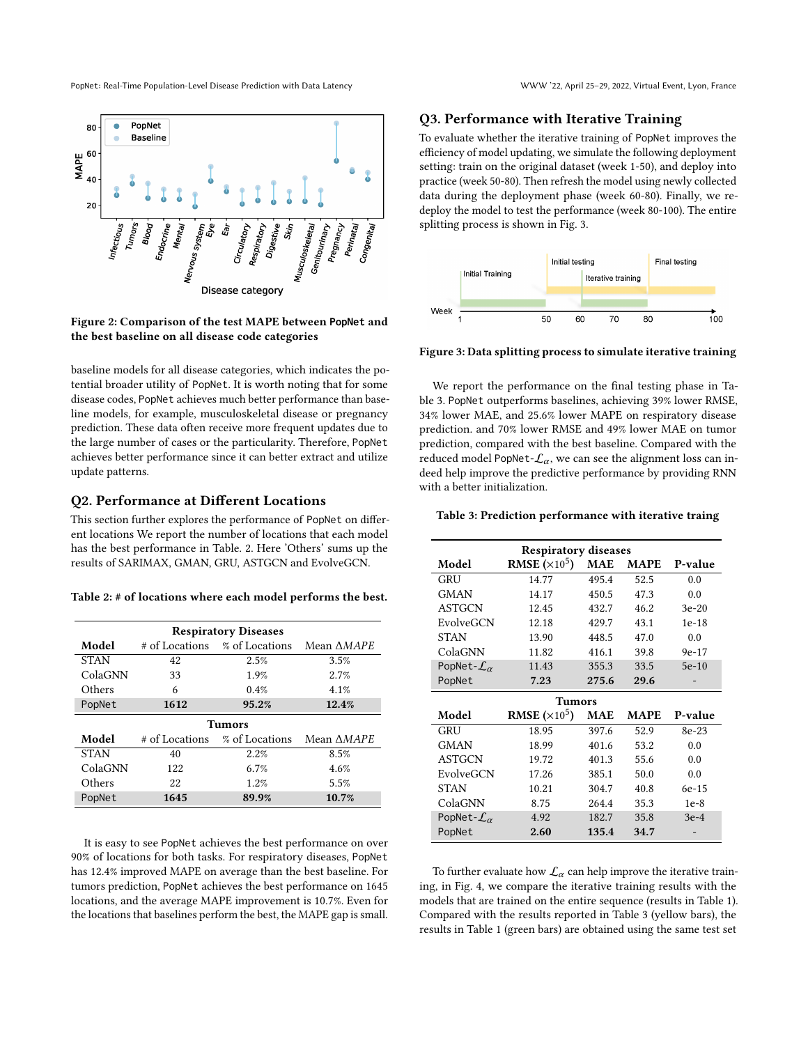<span id="page-6-0"></span>

Figure 2: Comparison of the test MAPE between **PopNet** and the best baseline on all disease code categories

baseline models for all disease categories, which indicates the potential broader utility of PopNet. It is worth noting that for some disease codes, PopNet achieves much better performance than baseline models, for example, musculoskeletal disease or pregnancy prediction. These data often receive more frequent updates due to the large number of cases or the particularity. Therefore, PopNet achieves better performance since it can better extract and utilize update patterns.

# Q2. Performance at Different Locations

This section further explores the performance of PopNet on different locations We report the number of locations that each model has the best performance in Table. [2.](#page-6-1) Here 'Others' sums up the results of SARIMAX, GMAN, GRU, ASTGCN and EvolveGCN.

<span id="page-6-1"></span>

| Table 2: # of locations where each model performs the best. |
|-------------------------------------------------------------|
|-------------------------------------------------------------|

| <b>Respiratory Diseases</b> |      |                               |                   |  |
|-----------------------------|------|-------------------------------|-------------------|--|
| Model                       |      | # of Locations % of Locations | Mean <i>AMAPE</i> |  |
| <b>STAN</b>                 | 42   | 2.5%                          | 3.5%              |  |
| ColaGNN                     | 33   | 1.9%                          | 2.7%              |  |
| Others                      | 6    | 0.4%                          | 4.1%              |  |
| PopNet                      | 1612 | 95.2%                         | 12.4%             |  |
|                             |      | Tumors                        |                   |  |
| Model                       |      | # of Locations % of Locations | Mean <i>AMAPE</i> |  |
| <b>STAN</b>                 | 40   | 2.2%                          | 8.5%              |  |
| ColaGNN                     | 122  | 6.7%                          | 4.6%              |  |
| Others                      | 22   | 1.2%                          | 5.5%              |  |
| PopNet                      | 1645 | 89.9%                         | 10.7%             |  |

It is easy to see PopNet achieves the best performance on over 90% of locations for both tasks. For respiratory diseases, PopNet has 12.4% improved MAPE on average than the best baseline. For tumors prediction, PopNet achieves the best performance on 1645 locations, and the average MAPE improvement is 10.7%. Even for the locations that baselines perform the best, the MAPE gap is small.

#### Q3. Performance with Iterative Training

To evaluate whether the iterative training of PopNet improves the efficiency of model updating, we simulate the following deployment setting: train on the original dataset (week 1-50), and deploy into practice (week 50-80). Then refresh the model using newly collected data during the deployment phase (week 60-80). Finally, we redeploy the model to test the performance (week 80-100). The entire splitting process is shown in Fig. [3.](#page-6-2)

<span id="page-6-2"></span>

Figure 3: Data splitting process to simulate iterative training

We report the performance on the final testing phase in Table [3.](#page-6-3) PopNet outperforms baselines, achieving 39% lower RMSE, 34% lower MAE, and 25.6% lower MAPE on respiratory disease prediction. and 70% lower RMSE and 49% lower MAE on tumor prediction, compared with the best baseline. Compared with the reduced model PopNet- $\mathcal{L}_{\alpha}$ , we can see the alignment loss can indeed help improve the predictive performance by providing RNN with a better initialization.

#### <span id="page-6-3"></span>Table 3: Prediction performance with iterative traing

| <b>Respiratory diseases</b>    |                               |            |             |         |  |
|--------------------------------|-------------------------------|------------|-------------|---------|--|
| Model                          | <b>RMSE</b> ( $\times 10^5$ ) | <b>MAE</b> | <b>MAPE</b> | P-value |  |
| GRU                            | 14.77                         | 495.4      | 52.5        | 0.0     |  |
| <b>GMAN</b>                    | 14.17                         | 450.5      | 47.3        | 0.0     |  |
| <b>ASTGCN</b>                  | 12.45                         | 432.7      | 46.2        | $3e-20$ |  |
| EvolveGCN                      | 12.18                         | 429.7      | 43.1        | $1e-18$ |  |
| <b>STAN</b>                    | 13.90                         | 448.5      | 47.0        | 0.0     |  |
| ColaGNN                        | 11.82                         | 416.1      | 39.8        | $9e-17$ |  |
| PopNet- $\mathcal{L}_{\alpha}$ | 11.43                         | 355.3      | 33.5        | $5e-10$ |  |
| PopNet                         | 7.23                          | 275.6      | 29.6        |         |  |
|                                | <b>Tumors</b>                 |            |             |         |  |
| Model                          | <b>RMSE</b> ( $\times 10^5$ ) | <b>MAE</b> | <b>MAPE</b> | P-value |  |
| GRU                            | 18.95                         | 397.6      | 52.9        | 8e-23   |  |
| <b>GMAN</b>                    | 18.99                         | 401.6      | 53.2        | 0.0     |  |
| <b>ASTGCN</b>                  | 19.72                         | 401.3      | 55.6        | 0.0     |  |
| EvolveGCN                      | 17.26                         | 385.1      | 50.0        | 0.0     |  |
| <b>STAN</b>                    | 10.21                         | 304.7      | 40.8        | 6e-15   |  |
| ColaGNN                        | 8.75                          | 264.4      | 35.3        | $1e-8$  |  |
| PopNet- $\mathcal{L}_{\alpha}$ | 4.92                          | 182.7      | 35.8        | $3e-4$  |  |
| PopNet                         | 2.60                          | 135.4      | 34.7        |         |  |

To further evaluate how  $\mathcal{L}_{\alpha}$  can help improve the iterative training, in Fig. [4,](#page-7-0) we compare the iterative training results with the models that are trained on the entire sequence (results in Table [1\)](#page-5-1). Compared with the results reported in Table [3](#page-6-3) (yellow bars), the results in Table [1](#page-5-1) (green bars) are obtained using the same test set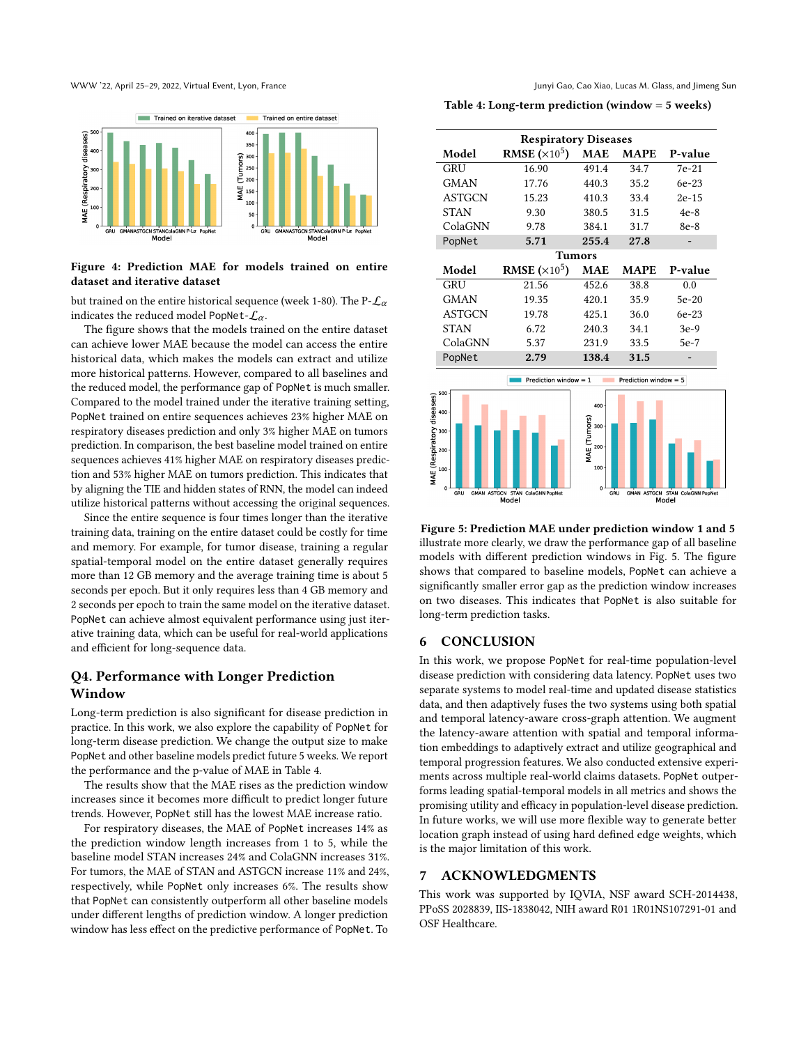<span id="page-7-0"></span>

#### Figure 4: Prediction MAE for models trained on entire dataset and iterative dataset

but trained on the entire historical sequence (week 1-80). The P- $\mathcal{L}_{\alpha}$ indicates the reduced model PopNet- $\mathcal{L}_{\alpha}$ .

The figure shows that the models trained on the entire dataset can achieve lower MAE because the model can access the entire historical data, which makes the models can extract and utilize more historical patterns. However, compared to all baselines and the reduced model, the performance gap of PopNet is much smaller. Compared to the model trained under the iterative training setting, PopNet trained on entire sequences achieves 23% higher MAE on respiratory diseases prediction and only 3% higher MAE on tumors prediction. In comparison, the best baseline model trained on entire sequences achieves 41% higher MAE on respiratory diseases prediction and 53% higher MAE on tumors prediction. This indicates that by aligning the TIE and hidden states of RNN, the model can indeed utilize historical patterns without accessing the original sequences.

Since the entire sequence is four times longer than the iterative training data, training on the entire dataset could be costly for time and memory. For example, for tumor disease, training a regular spatial-temporal model on the entire dataset generally requires more than 12 GB memory and the average training time is about 5 seconds per epoch. But it only requires less than 4 GB memory and 2 seconds per epoch to train the same model on the iterative dataset. PopNet can achieve almost equivalent performance using just iterative training data, which can be useful for real-world applications and efficient for long-sequence data.

# Q4. Performance with Longer Prediction Window

Long-term prediction is also significant for disease prediction in practice. In this work, we also explore the capability of PopNet for long-term disease prediction. We change the output size to make PopNet and other baseline models predict future 5 weeks. We report the performance and the p-value of MAE in Table [4.](#page-7-1)

The results show that the MAE rises as the prediction window increases since it becomes more difficult to predict longer future trends. However, PopNet still has the lowest MAE increase ratio.

For respiratory diseases, the MAE of PopNet increases 14% as the prediction window length increases from 1 to 5, while the baseline model STAN increases 24% and ColaGNN increases 31%. For tumors, the MAE of STAN and ASTGCN increase 11% and 24%, respectively, while PopNet only increases 6%. The results show that PopNet can consistently outperform all other baseline models under different lengths of prediction window. A longer prediction window has less effect on the predictive performance of PopNet. To

<span id="page-7-1"></span>Table 4: Long-term prediction (window = 5 weeks)

|                                   | <b>Respiratory Diseases</b>     |                     |                         |                                 |  |
|-----------------------------------|---------------------------------|---------------------|-------------------------|---------------------------------|--|
| Model                             | <b>RMSE</b> $(\times 10^5)$     | <b>MAE</b>          | <b>MAPE</b>             | P-value                         |  |
| GRU                               | 16.90                           | 491.4               | 34.7                    | $7e-21$                         |  |
| <b>GMAN</b>                       | 17.76                           | 440.3               | 35.2                    | 6e-23                           |  |
| <b>ASTGCN</b>                     | 15.23                           | 410.3               | 33.4                    | $2e-15$                         |  |
| <b>STAN</b>                       | 9.30                            | 380.5               | 31.5                    | $4e-8$                          |  |
| ColaGNN                           | 9.78                            | 384.1               | 31.7                    | 8e-8                            |  |
| PopNet                            | 5.71                            | 255.4               | 27.8                    |                                 |  |
|                                   |                                 | <b>Tumors</b>       |                         |                                 |  |
| Model                             | <b>RMSE</b> ( $\times 10^5$ )   | <b>MAE</b>          | <b>MAPE</b>             | P-value                         |  |
| GRU                               | 21.56                           | 452.6               | 38.8                    | 0.0                             |  |
| <b>GMAN</b>                       | 19.35                           | 420.1               | 35.9                    | 5e-20                           |  |
| <b>ASTGCN</b>                     | 19.78                           | 425.1               | 36.0                    | 6e-23                           |  |
| <b>STAN</b>                       | 6.72                            | 240.3               | 34.1                    | $3e-9$                          |  |
| ColaGNN                           | 5.37                            | 231.9               | 33.5                    | $5e-7$                          |  |
| PopNet                            | 2.79                            | 138.4               | 31.5                    |                                 |  |
|                                   | Prediction window $= 1$         |                     | Prediction window $= 5$ |                                 |  |
| 500                               |                                 |                     |                         |                                 |  |
|                                   |                                 | 400                 |                         |                                 |  |
| 400                               |                                 |                     |                         |                                 |  |
| 300                               |                                 | 300                 |                         |                                 |  |
| 200                               |                                 | MAE (Tumors)<br>200 |                         |                                 |  |
|                                   |                                 | 100                 |                         |                                 |  |
| MAE (Respiratory diseases)<br>100 |                                 |                     |                         |                                 |  |
| $\mathbf 0$<br>GRU                | GMAN ASTGCN STAN ColaGNN PopNet | $\mathbf{o}$<br>GRU |                         | GMAN ASTGCN STAN ColaGNN PopNet |  |
|                                   | Model                           |                     |                         | Model                           |  |

<span id="page-7-2"></span>Figure 5: Prediction MAE under prediction window 1 and 5 illustrate more clearly, we draw the performance gap of all baseline models with different prediction windows in Fig. [5.](#page-7-2) The figure shows that compared to baseline models, PopNet can achieve a significantly smaller error gap as the prediction window increases on two diseases. This indicates that PopNet is also suitable for long-term prediction tasks.

#### 6 CONCLUSION

In this work, we propose PopNet for real-time population-level disease prediction with considering data latency. PopNet uses two separate systems to model real-time and updated disease statistics data, and then adaptively fuses the two systems using both spatial and temporal latency-aware cross-graph attention. We augment the latency-aware attention with spatial and temporal information embeddings to adaptively extract and utilize geographical and temporal progression features. We also conducted extensive experiments across multiple real-world claims datasets. PopNet outperforms leading spatial-temporal models in all metrics and shows the promising utility and efficacy in population-level disease prediction. In future works, we will use more flexible way to generate better location graph instead of using hard defined edge weights, which is the major limitation of this work.

#### 7 ACKNOWLEDGMENTS

This work was supported by IQVIA, NSF award SCH-2014438, PPoSS 2028839, IIS-1838042, NIH award R01 1R01NS107291-01 and OSF Healthcare.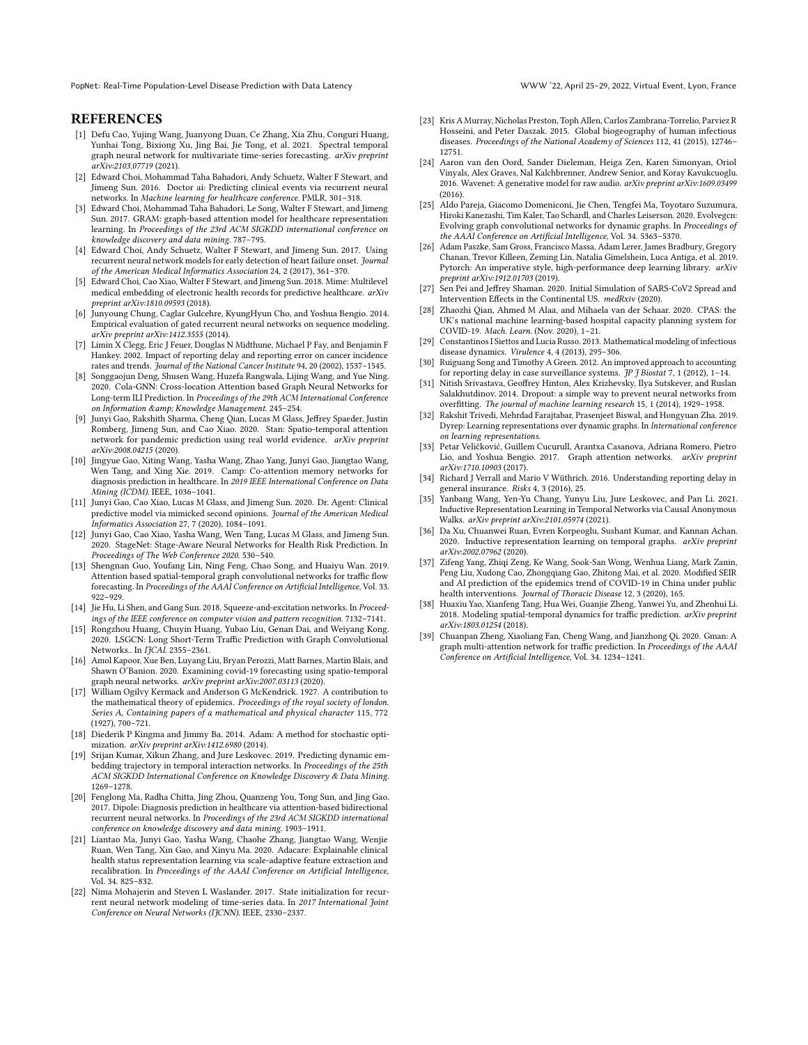## **REFERENCES**

- <span id="page-8-22"></span>[1] Defu Cao, Yujing Wang, Juanyong Duan, Ce Zhang, Xia Zhu, Conguri Huang, Yunhai Tong, Bixiong Xu, Jing Bai, Jie Tong, et al. 2021. Spectral temporal graph neural network for multivariate time-series forecasting. arXiv preprint arXiv:2103.07719 (2021).
- <span id="page-8-3"></span>[2] Edward Choi, Mohammad Taha Bahadori, Andy Schuetz, Walter F Stewart, and Jimeng Sun. 2016. Doctor ai: Predicting clinical events via recurrent neural networks. In Machine learning for healthcare conference. PMLR, 301–318.
- [3] Edward Choi, Mohammad Taha Bahadori, Le Song, Walter F Stewart, and Jimeng Sun. 2017. GRAM: graph-based attention model for healthcare representation learning. In Proceedings of the 23rd ACM SIGKDD international conference on knowledge discovery and data mining. 787–795.
- <span id="page-8-4"></span>[4] Edward Choi, Andy Schuetz, Walter F Stewart, and Jimeng Sun. 2017. Using recurrent neural network models for early detection of heart failure onset. Journal of the American Medical Informatics Association 24, 2 (2017), 361–370.
- <span id="page-8-9"></span>[5] Edward Choi, Cao Xiao, Walter F Stewart, and Jimeng Sun. 2018. Mime: Multilevel medical embedding of electronic health records for predictive healthcare. arXiv preprint arXiv:1810.09593 (2018).
- <span id="page-8-29"></span>[6] Junyoung Chung, Caglar Gulcehre, KyungHyun Cho, and Yoshua Bengio. 2014. Empirical evaluation of gated recurrent neural networks on sequence modeling. arXiv preprint arXiv:1412.3555 (2014).
- <span id="page-8-13"></span>[7] Limin X Clegg, Eric J Feuer, Douglas N Midthune, Michael P Fay, and Benjamin F Hankey. 2002. Impact of reporting delay and reporting error on cancer incidence rates and trends. Journal of the National Cancer Institute 94, 20 (2002), 1537–1545.
- <span id="page-8-8"></span>[8] Songgaojun Deng, Shusen Wang, Huzefa Rangwala, Lijing Wang, and Yue Ning. 2020. Cola-GNN: Cross-location Attention based Graph Neural Networks for Long-term ILI Prediction. In Proceedings of the 29th ACM International Conference on Information & amp; Knowledge Management. 245-254.
- <span id="page-8-1"></span>[9] Junyi Gao, Rakshith Sharma, Cheng Qian, Lucas M Glass, Jeffrey Spaeder, Justin Romberg, Jimeng Sun, and Cao Xiao. 2020. Stan: Spatio-temporal attention network for pandemic prediction using real world evidence. arXiv preprint arXiv:2008.04215 (2020).
- <span id="page-8-5"></span>[10] Jingyue Gao, Xiting Wang, Yasha Wang, Zhao Yang, Junyi Gao, Jiangtao Wang, Wen Tang, and Xing Xie. 2019. Camp: Co-attention memory networks for diagnosis prediction in healthcare. In 2019 IEEE International Conference on Data Mining (ICDM). IEEE, 1036–1041.
- [11] Junyi Gao, Cao Xiao, Lucas M Glass, and Jimeng Sun. 2020. Dr. Agent: Clinical predictive model via mimicked second opinions. Journal of the American Medical Informatics Association 27, 7 (2020), 1084–1091.
- <span id="page-8-6"></span>[12] Junyi Gao, Cao Xiao, Yasha Wang, Wen Tang, Lucas M Glass, and Jimeng Sun. 2020. StageNet: Stage-Aware Neural Networks for Health Risk Prediction. In Proceedings of The Web Conference 2020. 530–540.
- <span id="page-8-17"></span>[13] Shengnan Guo, Youfang Lin, Ning Feng, Chao Song, and Huaiyu Wan. 2019. Attention based spatial-temporal graph convolutional networks for traffic flow forecasting. In Proceedings of the AAAI Conference on Artificial Intelligence, Vol. 33. 922–929.
- <span id="page-8-31"></span>[14] Jie Hu, Li Shen, and Gang Sun. 2018. Squeeze-and-excitation networks. In Proceedings of the IEEE conference on computer vision and pattern recognition. 7132–7141.
- <span id="page-8-18"></span>[15] Rongzhou Huang, Chuyin Huang, Yubao Liu, Genan Dai, and Weiyang Kong. 2020. LSGCN: Long Short-Term Traffic Prediction with Graph Convolutional Networks.. In IJCAI. 2355-2361.
- <span id="page-8-21"></span>[16] Amol Kapoor, Xue Ben, Luyang Liu, Bryan Perozzi, Matt Barnes, Martin Blais, and Shawn O'Banion. 2020. Examining covid-19 forecasting using spatio-temporal graph neural networks. arXiv preprint arXiv:2007.03113 (2020).
- <span id="page-8-10"></span>[17] William Ogilvy Kermack and Anderson G McKendrick. 1927. A contribution to the mathematical theory of epidemics. Proceedings of the royal society of london. Series A, Containing papers of a mathematical and physical character 115, 772 (1927), 700–721.
- <span id="page-8-35"></span>[18] Diederik P Kingma and Jimmy Ba. 2014. Adam: A method for stochastic optimization. arXiv preprint arXiv:1412.6980 (2014).
- <span id="page-8-23"></span>[19] Srijan Kumar, Xikun Zhang, and Jure Leskovec. 2019. Predicting dynamic embedding trajectory in temporal interaction networks. In Proceedings of the 25th ACM SIGKDD International Conference on Knowledge Discovery & Data Mining. 1269–1278.
- <span id="page-8-7"></span>[20] Fenglong Ma, Radha Chitta, Jing Zhou, Quanzeng You, Tong Sun, and Jing Gao. 2017. Dipole: Diagnosis prediction in healthcare via attention-based bidirectional recurrent neural networks. In Proceedings of the 23rd ACM SIGKDD international conference on knowledge discovery and data mining. 1903–1911.
- <span id="page-8-32"></span>[21] Liantao Ma, Junyi Gao, Yasha Wang, Chaohe Zhang, Jiangtao Wang, Wenjie Ruan, Wen Tang, Xin Gao, and Xinyu Ma. 2020. Adacare: Explainable clinical health status representation learning via scale-adaptive feature extraction and recalibration. In Proceedings of the AAAI Conference on Artificial Intelligence, Vol. 34. 825–832.
- <span id="page-8-33"></span>[22] Nima Mohajerin and Steven L Waslander. 2017. State initialization for recurrent neural network modeling of time-series data. In 2017 International Joint Conference on Neural Networks (IJCNN). IEEE, 2330–2337.
- <span id="page-8-16"></span>[23] Kris A Murray, Nicholas Preston, Toph Allen, Carlos Zambrana-Torrelio, Parviez R Hosseini, and Peter Daszak. 2015. Global biogeography of human infectious diseases. Proceedings of the National Academy of Sciences 112, 41 (2015), 12746– 12751.
- <span id="page-8-30"></span>[24] Aaron van den Oord, Sander Dieleman, Heiga Zen, Karen Simonyan, Oriol Vinyals, Alex Graves, Nal Kalchbrenner, Andrew Senior, and Koray Kavukcuoglu. 2016. Wavenet: A generative model for raw audio. arXiv preprint arXiv:1609.03499 (2016).
- <span id="page-8-24"></span>[25] Aldo Pareja, Giacomo Domeniconi, Jie Chen, Tengfei Ma, Toyotaro Suzumura, Hiroki Kanezashi, Tim Kaler, Tao Schardl, and Charles Leiserson. 2020. Evolvegcn: Evolving graph convolutional networks for dynamic graphs. In Proceedings of the AAAI Conference on Artificial Intelligence, Vol. 34. 5363–5370.
- <span id="page-8-34"></span>[26] Adam Paszke, Sam Gross, Francisco Massa, Adam Lerer, James Bradbury, Gregory Chanan, Trevor Killeen, Zeming Lin, Natalia Gimelshein, Luca Antiga, et al. 2019. Pytorch: An imperative style, high-performance deep learning library. arXiv preprint arXiv:1912.01703 (2019).
- <span id="page-8-11"></span>[27] Sen Pei and Jeffrey Shaman. 2020. Initial Simulation of SARS-CoV2 Spread and Intervention Effects in the Continental US. medRxiv (2020).
- <span id="page-8-0"></span>[28] Zhaozhi Qian, Ahmed M Alaa, and Mihaela van der Schaar. 2020. CPAS: the UK's national machine learning-based hospital capacity planning system for COVID-19. Mach. Learn. (Nov. 2020), 1–21.
- <span id="page-8-2"></span>[29] Constantinos I Siettos and Lucia Russo. 2013. Mathematical modeling of infectious disease dynamics. Virulence 4, 4 (2013), 295–306.
- <span id="page-8-14"></span>[30] Ruiguang Song and Timothy A Green. 2012. An improved approach to accounting for reporting delay in case surveillance systems. JP J Biostat 7, 1 (2012), 1–14.
- <span id="page-8-36"></span>[31] Nitish Srivastava, Geoffrey Hinton, Alex Krizhevsky, Ilya Sutskever, and Ruslan Salakhutdinov. 2014. Dropout: a simple way to prevent neural networks from overfitting. The journal of machine learning research 15, 1 (2014), 1929–1958.
- <span id="page-8-25"></span>[32] Rakshit Trivedi, Mehrdad Farajtabar, Prasenjeet Biswal, and Hongyuan Zha. 2019. Dyrep: Learning representations over dynamic graphs. In International conference on learning representations.
- <span id="page-8-28"></span>[33] Petar Veličković, Guillem Cucurull, Arantxa Casanova, Adriana Romero, Pietro Lio, and Yoshua Bengio. 2017. Graph attention networks. arXiv preprint arXiv:1710.10903 (2017).
- <span id="page-8-15"></span>[34] Richard J Verrall and Mario V Wüthrich. 2016. Understanding reporting delay in general insurance. Risks 4, 3 (2016), 25.
- <span id="page-8-26"></span>[35] Yanbang Wang, Yen-Yu Chang, Yunyu Liu, Jure Leskovec, and Pan Li. 2021. Inductive Representation Learning in Temporal Networks via Causal Anonymous Walks. arXiv preprint arXiv:2101.05974 (2021).
- <span id="page-8-27"></span>[36] Da Xu, Chuanwei Ruan, Evren Korpeoglu, Sushant Kumar, and Kannan Achan. 2020. Inductive representation learning on temporal graphs. arXiv preprint arXiv:2002.07962 (2020).
- <span id="page-8-12"></span>[37] Zifeng Yang, Zhiqi Zeng, Ke Wang, Sook-San Wong, Wenhua Liang, Mark Zanin, Peng Liu, Xudong Cao, Zhongqiang Gao, Zhitong Mai, et al. 2020. Modified SEIR and AI prediction of the epidemics trend of COVID-19 in China under public health interventions. Journal of Thoracic Disease 12, 3 (2020), 165.
- <span id="page-8-19"></span>[38] Huaxiu Yao, Xianfeng Tang, Hua Wei, Guanjie Zheng, Yanwei Yu, and Zhenhui Li. 2018. Modeling spatial-temporal dynamics for traffic prediction. arXiv preprint arXiv:1803.01254 (2018).
- <span id="page-8-20"></span>[39] Chuanpan Zheng, Xiaoliang Fan, Cheng Wang, and Jianzhong Qi. 2020. Gman: A graph multi-attention network for traffic prediction. In Proceedings of the AAAI Conference on Artificial Intelligence, Vol. 34. 1234–1241.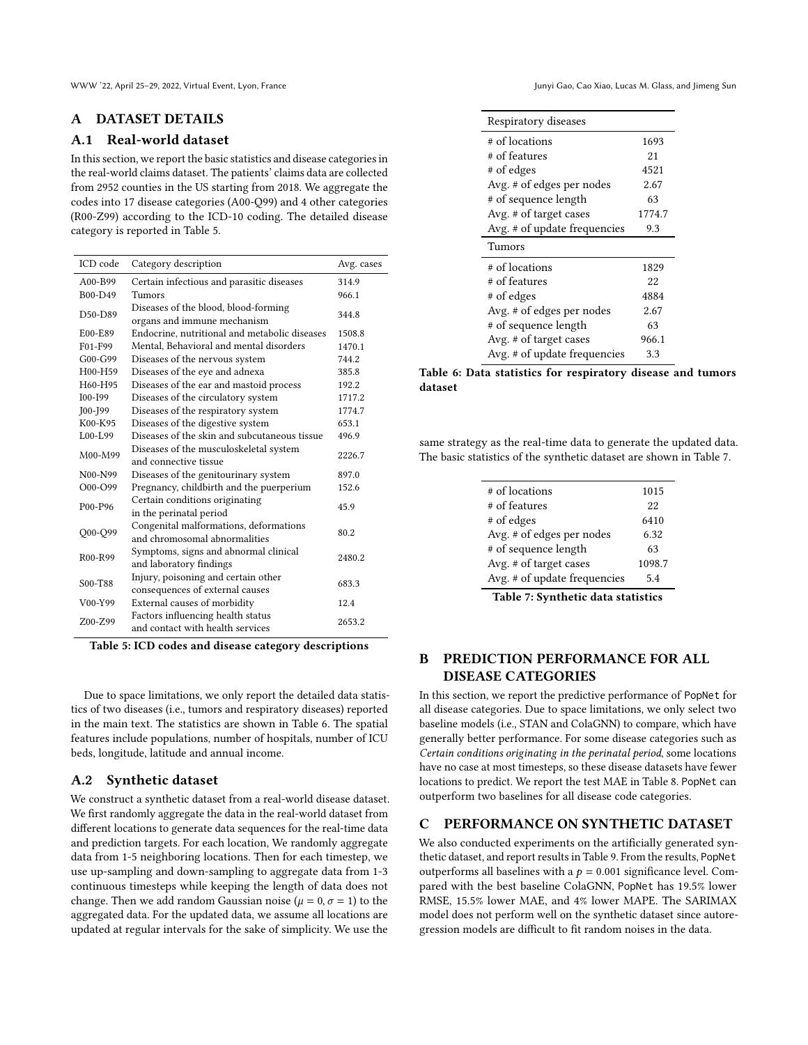WWW '22, April 25–29, 2022, Virtual Event, Lyon, France Junyi Gao, Cao Xiao, Lucas M. Glass, and Jimeng Sun

# A DATASET DETAILS

# A.1 Real-world dataset

In this section, we report the basic statistics and disease categories in the real-world claims dataset. The patients' claims data are collected from 2952 counties in the US starting from 2018. We aggregate the codes into 17 disease categories (A00-Q99) and 4 other categories (R00-Z99) according to the ICD-10 coding. The detailed disease category is reported in Table [5.](#page-9-0)

<span id="page-9-0"></span>

| ICD code                         | Category description                                                    | Avg. cases |
|----------------------------------|-------------------------------------------------------------------------|------------|
| A00-B99                          | Certain infectious and parasitic diseases                               | 314.9      |
| B00-D49                          | Tumors                                                                  | 966.1      |
| D50-D89                          | Diseases of the blood, blood-forming<br>organs and immune mechanism     | 344.8      |
| E00-E89                          | Endocrine, nutritional and metabolic diseases                           | 1508.8     |
| F01-F99                          | Mental. Behavioral and mental disorders                                 | 1470.1     |
| $G_{00} - G_{99}$                | Diseases of the nervous system                                          | 744.2      |
| H00-H59                          | Diseases of the eye and adnexa                                          | 385.8      |
| H60-H95                          | Diseases of the ear and mastoid process                                 | 192.2      |
| $IO0-I99$                        | Diseases of the circulatory system                                      | 1717.2     |
| $IO0-I99$                        | Diseases of the respiratory system                                      | 1774.7     |
| K00-K95                          | Diseases of the digestive system                                        | 653.1      |
| $L00-L99$                        | Diseases of the skin and subcutaneous tissue                            | 496.9      |
| M00-M99                          | Diseases of the musculoskeletal system<br>and connective tissue         | 2226.7     |
| N <sub>00</sub> -N <sub>99</sub> | Diseases of the genitourinary system                                    | 897.0      |
| O00-O99                          | Pregnancy, childbirth and the puerperium                                | 152.6      |
| P00-P96                          | Certain conditions originating<br>in the perinatal period               | 45.9       |
| Q00-Q99                          | Congenital malformations, deformations<br>and chromosomal abnormalities | 80.2       |
| R <sub>00</sub> -R <sub>99</sub> | Symptoms, signs and abnormal clinical<br>and laboratory findings        | 2480.2     |
| S00-T88                          | Injury, poisoning and certain other<br>consequences of external causes  | 683.3      |
| V00-Y99                          | External causes of morbidity                                            | 12.4       |
| Z00-Z99                          | Factors influencing health status<br>and contact with health services   | 2653.2     |

Table 5: ICD codes and disease category descriptions

Due to space limitations, we only report the detailed data statistics of two diseases (i.e., tumors and respiratory diseases) reported in the main text. The statistics are shown in Table [6.](#page-9-1) The spatial features include populations, number of hospitals, number of ICU beds, longitude, latitude and annual income.

# A.2 Synthetic dataset

We construct a synthetic dataset from a real-world disease dataset. We first randomly aggregate the data in the real-world dataset from different locations to generate data sequences for the real-time data and prediction targets. For each location, We randomly aggregate data from 1-5 neighboring locations. Then for each timestep, we use up-sampling and down-sampling to aggregate data from 1-3 continuous timesteps while keeping the length of data does not change. Then we add random Gaussian noise ( $\mu = 0$ ,  $\sigma = 1$ ) to the aggregated data. For the updated data, we assume all locations are updated at regular intervals for the sake of simplicity. We use the

<span id="page-9-1"></span>

| Respiratory diseases         |        |
|------------------------------|--------|
| # of locations               | 1693   |
| # of features                | 21     |
| # of edges                   | 4521   |
| Avg. # of edges per nodes    | 2.67   |
| # of sequence length         | 63     |
| Avg. # of target cases       | 1774.7 |
| Avg. # of update frequencies | 9.3    |
|                              |        |
| Tumors                       |        |
| # of locations               | 1829   |
| # of features                | 22     |
| # of edges                   | 4884   |
| Avg. # of edges per nodes    | 2.67   |
| # of sequence length         | 63     |
| Avg. # of target cases       | 966.1  |

Table 6: Data statistics for respiratory disease and tumors dataset

<span id="page-9-2"></span>same strategy as the real-time data to generate the updated data. The basic statistics of the synthetic dataset are shown in Table [7.](#page-9-2)

| # of locations               | 1015   |
|------------------------------|--------|
| # of features                | 22     |
| # of edges                   | 6410   |
| Avg. # of edges per nodes    | 6.32   |
| # of sequence length         | 63     |
| Avg. # of target cases       | 1098.7 |
| Avg. # of update frequencies | 5.4    |
|                              |        |

Table 7: Synthetic data statistics

# B PREDICTION PERFORMANCE FOR ALL DISEASE CATEGORIES

In this section, we report the predictive performance of PopNet for all disease categories. Due to space limitations, we only select two baseline models (i.e., STAN and ColaGNN) to compare, which have generally better performance. For some disease categories such as Certain conditions originating in the perinatal period, some locations have no case at most timesteps, so these disease datasets have fewer locations to predict. We report the test MAE in Table [8.](#page-10-1) PopNet can outperform two baselines for all disease code categories.

#### C PERFORMANCE ON SYNTHETIC DATASET

We also conducted experiments on the artificially generated synthetic dataset, and report results in Table [9.](#page-10-2) From the results, PopNet outperforms all baselines with a  $p = 0.001$  significance level. Compared with the best baseline ColaGNN, PopNet has 19.5% lower RMSE, 15.5% lower MAE, and 4% lower MAPE. The SARIMAX model does not perform well on the synthetic dataset since autoregression models are difficult to fit random noises in the data.